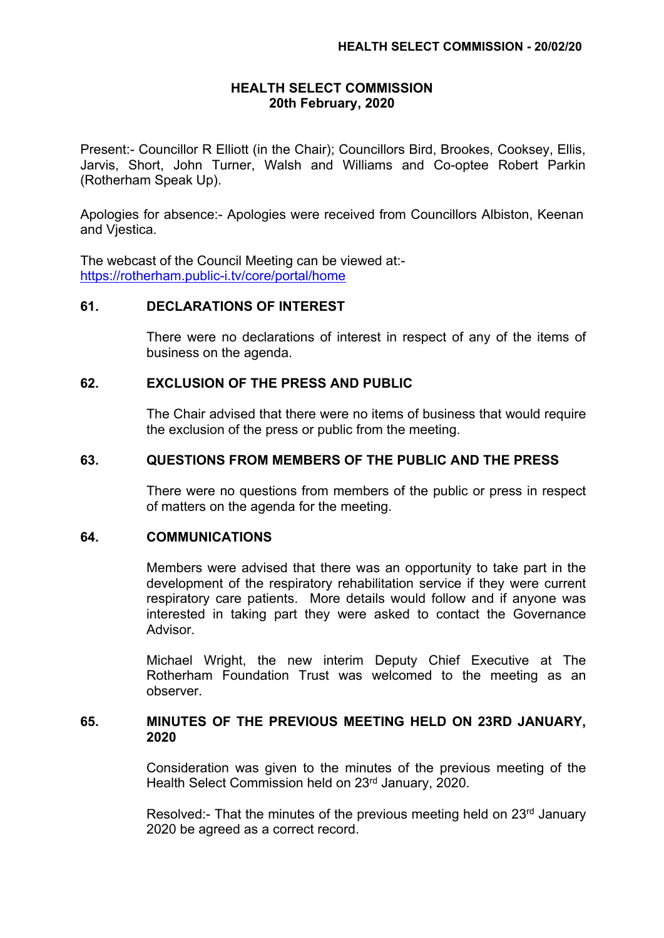## **HEALTH SELECT COMMISSION 20th February, 2020**

Present:- Councillor R Elliott (in the Chair); Councillors Bird, Brookes, Cooksey, Ellis, Jarvis, Short, John Turner, Walsh and Williams and Co-optee Robert Parkin (Rotherham Speak Up).

Apologies for absence:- Apologies were received from Councillors Albiston, Keenan and Vjestica.

The webcast of the Council Meeting can be viewed at: <https://rotherham.public-i.tv/core/portal/home>

#### **61. DECLARATIONS OF INTEREST**

There were no declarations of interest in respect of any of the items of business on the agenda.

## **62. EXCLUSION OF THE PRESS AND PUBLIC**

The Chair advised that there were no items of business that would require the exclusion of the press or public from the meeting.

## **63. QUESTIONS FROM MEMBERS OF THE PUBLIC AND THE PRESS**

There were no questions from members of the public or press in respect of matters on the agenda for the meeting.

#### **64. COMMUNICATIONS**

Members were advised that there was an opportunity to take part in the development of the respiratory rehabilitation service if they were current respiratory care patients. More details would follow and if anyone was interested in taking part they were asked to contact the Governance Advisor.

Michael Wright, the new interim Deputy Chief Executive at The Rotherham Foundation Trust was welcomed to the meeting as an observer.

### **65. MINUTES OF THE PREVIOUS MEETING HELD ON 23RD JANUARY, 2020**

Consideration was given to the minutes of the previous meeting of the Health Select Commission held on 23rd January, 2020.

Resolved:- That the minutes of the previous meeting held on 23<sup>rd</sup> January 2020 be agreed as a correct record.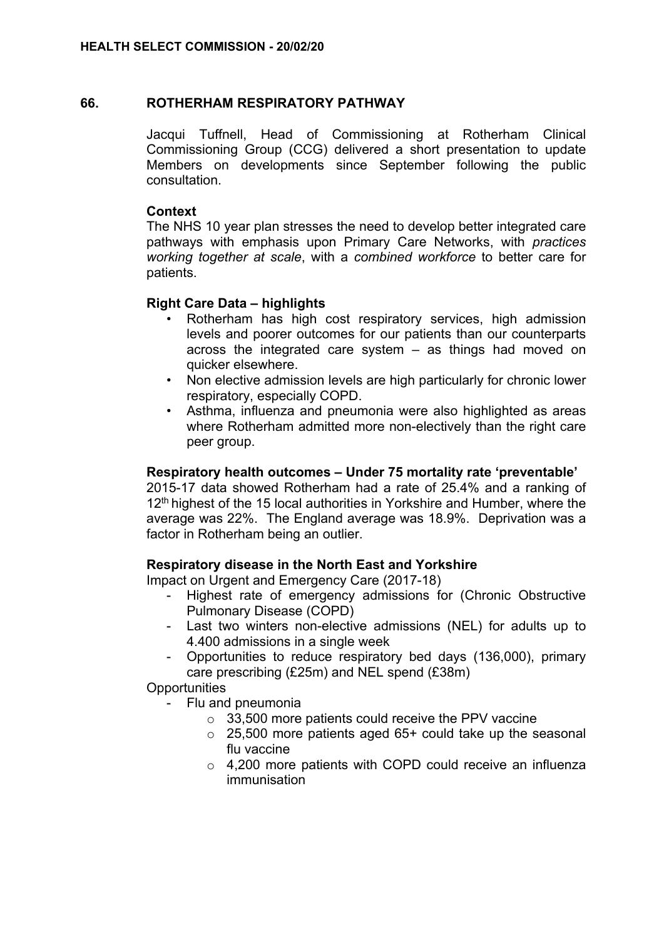## **66. ROTHERHAM RESPIRATORY PATHWAY**

Jacqui Tuffnell, Head of Commissioning at Rotherham Clinical Commissioning Group (CCG) delivered a short presentation to update Members on developments since September following the public consultation.

## **Context**

The NHS 10 year plan stresses the need to develop better integrated care pathways with emphasis upon Primary Care Networks, with *practices working together at scale*, with a *combined workforce* to better care for patients.

# **Right Care Data – highlights**

- Rotherham has high cost respiratory services, high admission levels and poorer outcomes for our patients than our counterparts across the integrated care system – as things had moved on quicker elsewhere.
- Non elective admission levels are high particularly for chronic lower respiratory, especially COPD.
- Asthma, influenza and pneumonia were also highlighted as areas where Rotherham admitted more non-electively than the right care peer group.

#### **Respiratory health outcomes – Under 75 mortality rate 'preventable'**

2015-17 data showed Rotherham had a rate of 25.4% and a ranking of  $12<sup>th</sup>$  highest of the 15 local authorities in Yorkshire and Humber, where the average was 22%. The England average was 18.9%. Deprivation was a factor in Rotherham being an outlier.

#### **Respiratory disease in the North East and Yorkshire**

Impact on Urgent and Emergency Care (2017-18)

- Highest rate of emergency admissions for (Chronic Obstructive Pulmonary Disease (COPD)
- Last two winters non-elective admissions (NEL) for adults up to 4.400 admissions in a single week
- Opportunities to reduce respiratory bed days (136,000), primary care prescribing (£25m) and NEL spend (£38m)

**Opportunities** 

- Flu and pneumonia
	- $\circ$  33,500 more patients could receive the PPV vaccine
	- $\circ$  25,500 more patients aged 65+ could take up the seasonal flu vaccine
	- o 4,200 more patients with COPD could receive an influenza immunisation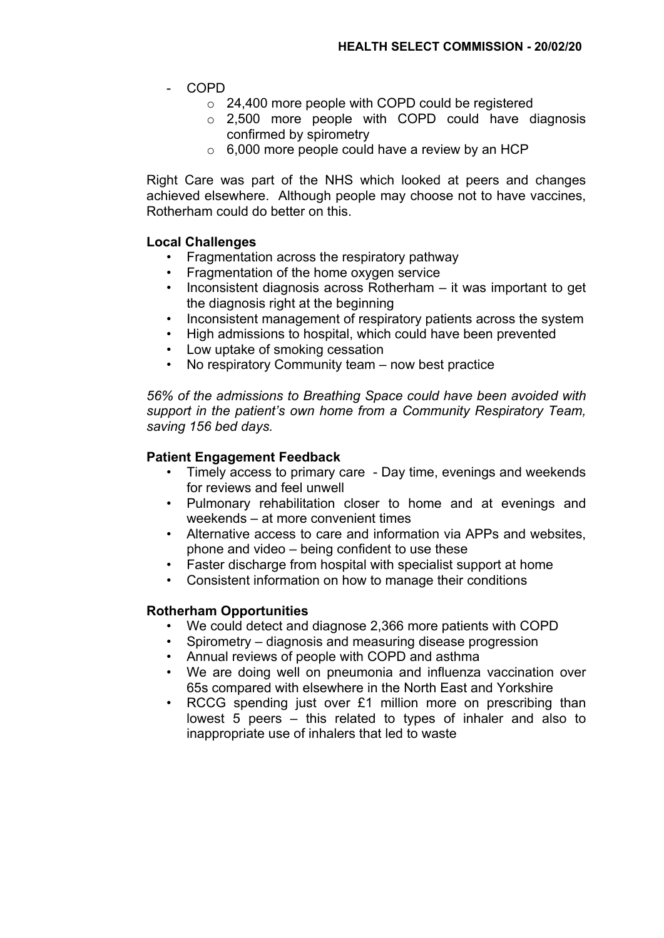- COPD
	- o 24,400 more people with COPD could be registered
	- o 2,500 more people with COPD could have diagnosis confirmed by spirometry
	- $\circ$  6,000 more people could have a review by an HCP

Right Care was part of the NHS which looked at peers and changes achieved elsewhere. Although people may choose not to have vaccines, Rotherham could do better on this.

# **Local Challenges**

- Fragmentation across the respiratory pathway
- Fragmentation of the home oxygen service
- Inconsistent diagnosis across Rotherham it was important to get the diagnosis right at the beginning
- Inconsistent management of respiratory patients across the system
- High admissions to hospital, which could have been prevented
- Low uptake of smoking cessation
- No respiratory Community team now best practice

*56% of the admissions to Breathing Space could have been avoided with support in the patient's own home from a Community Respiratory Team, saving 156 bed days.*

#### **Patient Engagement Feedback**

- Timely access to primary care Day time, evenings and weekends for reviews and feel unwell
- Pulmonary rehabilitation closer to home and at evenings and weekends – at more convenient times
- Alternative access to care and information via APPs and websites, phone and video – being confident to use these
- Faster discharge from hospital with specialist support at home
- Consistent information on how to manage their conditions

#### **Rotherham Opportunities**

- We could detect and diagnose 2,366 more patients with COPD
- Spirometry diagnosis and measuring disease progression
- Annual reviews of people with COPD and asthma
- We are doing well on pneumonia and influenza vaccination over 65s compared with elsewhere in the North East and Yorkshire
- RCCG spending just over £1 million more on prescribing than lowest 5 peers – this related to types of inhaler and also to inappropriate use of inhalers that led to waste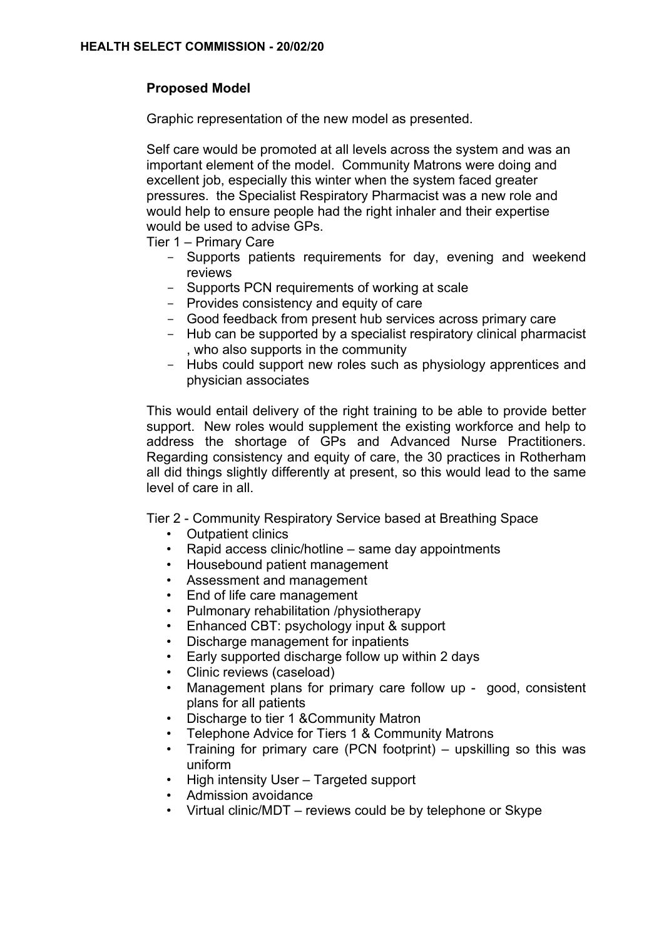# **Proposed Model**

Graphic representation of the new model as presented.

Self care would be promoted at all levels across the system and was an important element of the model. Community Matrons were doing and excellent job, especially this winter when the system faced greater pressures. the Specialist Respiratory Pharmacist was a new role and would help to ensure people had the right inhaler and their expertise would be used to advise GPs.

Tier 1 – Primary Care

- Supports patients requirements for day, evening and weekend reviews
- Supports PCN requirements of working at scale
- Provides consistency and equity of care
- Good feedback from present hub services across primary care
- Hub can be supported by a specialist respiratory clinical pharmacist , who also supports in the community
- Hubs could support new roles such as physiology apprentices and physician associates

This would entail delivery of the right training to be able to provide better support. New roles would supplement the existing workforce and help to address the shortage of GPs and Advanced Nurse Practitioners. Regarding consistency and equity of care, the 30 practices in Rotherham all did things slightly differently at present, so this would lead to the same level of care in all.

Tier 2 - Community Respiratory Service based at Breathing Space

- Outpatient clinics
- Rapid access clinic/hotline same day appointments
- Housebound patient management
- Assessment and management
- End of life care management
- Pulmonary rehabilitation /physiotherapy
- Enhanced CBT: psychology input & support
- Discharge management for inpatients
- Early supported discharge follow up within 2 days
- Clinic reviews (caseload)
- Management plans for primary care follow up good, consistent plans for all patients
- Discharge to tier 1 &Community Matron
- Telephone Advice for Tiers 1 & Community Matrons
- Training for primary care (PCN footprint) upskilling so this was uniform
- High intensity User Targeted support
- Admission avoidance
- Virtual clinic/MDT reviews could be by telephone or Skype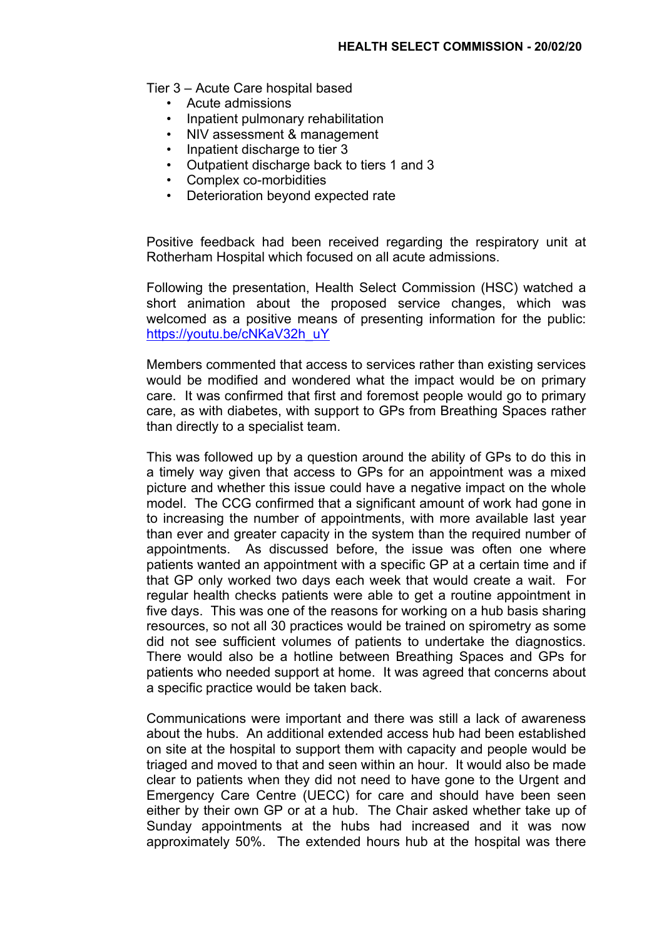Tier 3 – Acute Care hospital based

- Acute admissions
- Inpatient pulmonary rehabilitation
- NIV assessment & management
- Inpatient discharge to tier 3
- Outpatient discharge back to tiers 1 and 3
- Complex co-morbidities
- Deterioration beyond expected rate

Positive feedback had been received regarding the respiratory unit at Rotherham Hospital which focused on all acute admissions.

Following the presentation, Health Select Commission (HSC) watched a short animation about the proposed service changes, which was welcomed as a positive means of presenting information for the public: [https://youtu.be/cNKaV32h\\_uY](https://youtu.be/cNKaV32h_uY)

Members commented that access to services rather than existing services would be modified and wondered what the impact would be on primary care. It was confirmed that first and foremost people would go to primary care, as with diabetes, with support to GPs from Breathing Spaces rather than directly to a specialist team.

This was followed up by a question around the ability of GPs to do this in a timely way given that access to GPs for an appointment was a mixed picture and whether this issue could have a negative impact on the whole model. The CCG confirmed that a significant amount of work had gone in to increasing the number of appointments, with more available last year than ever and greater capacity in the system than the required number of appointments. As discussed before, the issue was often one where patients wanted an appointment with a specific GP at a certain time and if that GP only worked two days each week that would create a wait. For regular health checks patients were able to get a routine appointment in five days. This was one of the reasons for working on a hub basis sharing resources, so not all 30 practices would be trained on spirometry as some did not see sufficient volumes of patients to undertake the diagnostics. There would also be a hotline between Breathing Spaces and GPs for patients who needed support at home. It was agreed that concerns about a specific practice would be taken back.

Communications were important and there was still a lack of awareness about the hubs. An additional extended access hub had been established on site at the hospital to support them with capacity and people would be triaged and moved to that and seen within an hour. It would also be made clear to patients when they did not need to have gone to the Urgent and Emergency Care Centre (UECC) for care and should have been seen either by their own GP or at a hub. The Chair asked whether take up of Sunday appointments at the hubs had increased and it was now approximately 50%. The extended hours hub at the hospital was there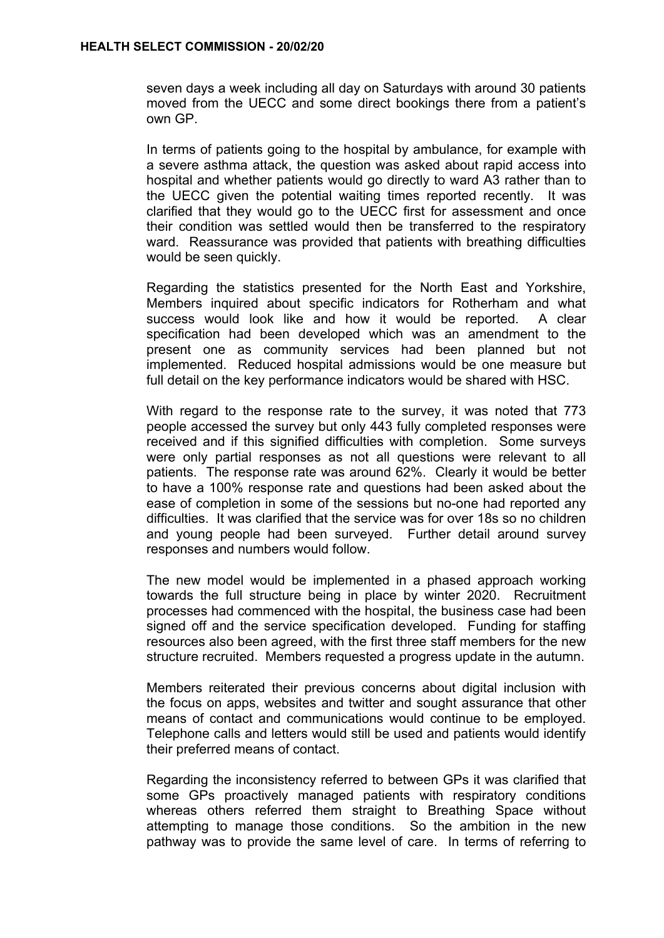seven days a week including all day on Saturdays with around 30 patients moved from the UECC and some direct bookings there from a patient's own GP.

In terms of patients going to the hospital by ambulance, for example with a severe asthma attack, the question was asked about rapid access into hospital and whether patients would go directly to ward A3 rather than to the UECC given the potential waiting times reported recently. It was clarified that they would go to the UECC first for assessment and once their condition was settled would then be transferred to the respiratory ward. Reassurance was provided that patients with breathing difficulties would be seen quickly.

Regarding the statistics presented for the North East and Yorkshire, Members inquired about specific indicators for Rotherham and what success would look like and how it would be reported. A clear specification had been developed which was an amendment to the present one as community services had been planned but not implemented. Reduced hospital admissions would be one measure but full detail on the key performance indicators would be shared with HSC.

With regard to the response rate to the survey, it was noted that 773 people accessed the survey but only 443 fully completed responses were received and if this signified difficulties with completion. Some surveys were only partial responses as not all questions were relevant to all patients. The response rate was around 62%. Clearly it would be better to have a 100% response rate and questions had been asked about the ease of completion in some of the sessions but no-one had reported any difficulties. It was clarified that the service was for over 18s so no children and young people had been surveyed. Further detail around survey responses and numbers would follow.

The new model would be implemented in a phased approach working towards the full structure being in place by winter 2020. Recruitment processes had commenced with the hospital, the business case had been signed off and the service specification developed. Funding for staffing resources also been agreed, with the first three staff members for the new structure recruited. Members requested a progress update in the autumn.

Members reiterated their previous concerns about digital inclusion with the focus on apps, websites and twitter and sought assurance that other means of contact and communications would continue to be employed. Telephone calls and letters would still be used and patients would identify their preferred means of contact.

Regarding the inconsistency referred to between GPs it was clarified that some GPs proactively managed patients with respiratory conditions whereas others referred them straight to Breathing Space without attempting to manage those conditions. So the ambition in the new pathway was to provide the same level of care. In terms of referring to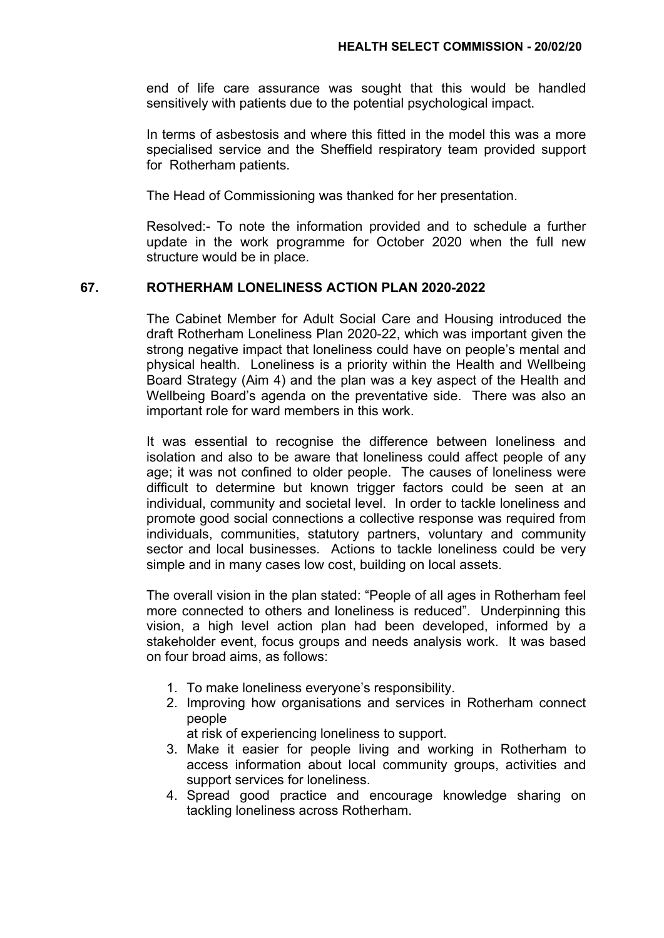end of life care assurance was sought that this would be handled sensitively with patients due to the potential psychological impact.

In terms of asbestosis and where this fitted in the model this was a more specialised service and the Sheffield respiratory team provided support for Rotherham patients.

The Head of Commissioning was thanked for her presentation.

Resolved:- To note the information provided and to schedule a further update in the work programme for October 2020 when the full new structure would be in place.

# **67. ROTHERHAM LONELINESS ACTION PLAN 2020-2022**

The Cabinet Member for Adult Social Care and Housing introduced the draft Rotherham Loneliness Plan 2020-22, which was important given the strong negative impact that loneliness could have on people's mental and physical health. Loneliness is a priority within the Health and Wellbeing Board Strategy (Aim 4) and the plan was a key aspect of the Health and Wellbeing Board's agenda on the preventative side. There was also an important role for ward members in this work.

It was essential to recognise the difference between loneliness and isolation and also to be aware that loneliness could affect people of any age; it was not confined to older people. The causes of loneliness were difficult to determine but known trigger factors could be seen at an individual, community and societal level. In order to tackle loneliness and promote good social connections a collective response was required from individuals, communities, statutory partners, voluntary and community sector and local businesses. Actions to tackle loneliness could be very simple and in many cases low cost, building on local assets.

The overall vision in the plan stated: "People of all ages in Rotherham feel more connected to others and loneliness is reduced". Underpinning this vision, a high level action plan had been developed, informed by a stakeholder event, focus groups and needs analysis work. It was based on four broad aims, as follows:

- 1. To make loneliness everyone's responsibility.
- 2. Improving how organisations and services in Rotherham connect people

at risk of experiencing loneliness to support.

- 3. Make it easier for people living and working in Rotherham to access information about local community groups, activities and support services for loneliness.
- 4. Spread good practice and encourage knowledge sharing on tackling loneliness across Rotherham.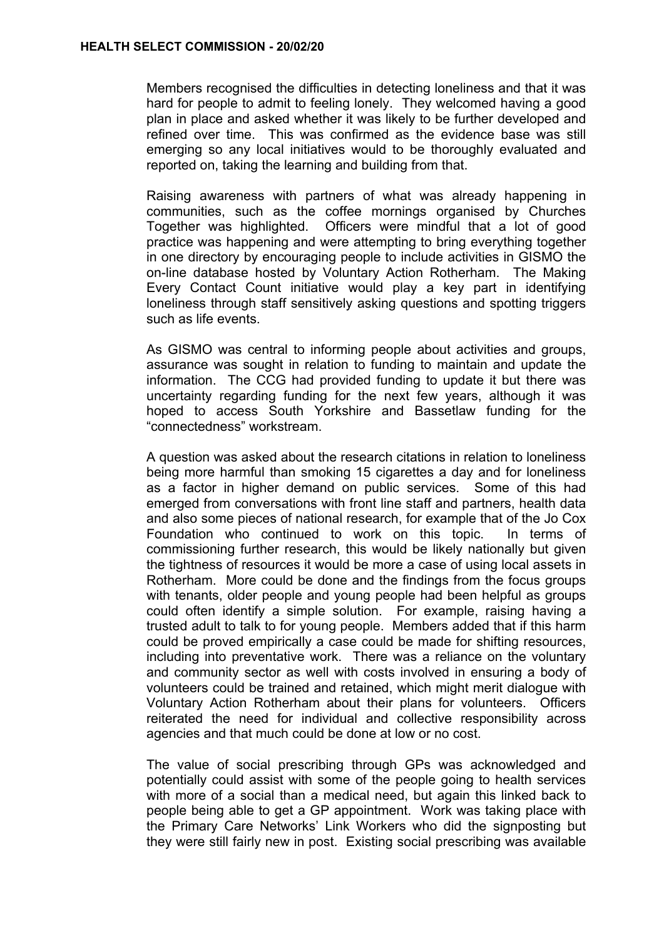Members recognised the difficulties in detecting loneliness and that it was hard for people to admit to feeling lonely. They welcomed having a good plan in place and asked whether it was likely to be further developed and refined over time. This was confirmed as the evidence base was still emerging so any local initiatives would to be thoroughly evaluated and reported on, taking the learning and building from that.

Raising awareness with partners of what was already happening in communities, such as the coffee mornings organised by Churches Together was highlighted. Officers were mindful that a lot of good practice was happening and were attempting to bring everything together in one directory by encouraging people to include activities in GISMO the on-line database hosted by Voluntary Action Rotherham. The Making Every Contact Count initiative would play a key part in identifying loneliness through staff sensitively asking questions and spotting triggers such as life events.

As GISMO was central to informing people about activities and groups, assurance was sought in relation to funding to maintain and update the information. The CCG had provided funding to update it but there was uncertainty regarding funding for the next few years, although it was hoped to access South Yorkshire and Bassetlaw funding for the "connectedness" workstream.

A question was asked about the research citations in relation to loneliness being more harmful than smoking 15 cigarettes a day and for loneliness as a factor in higher demand on public services. Some of this had emerged from conversations with front line staff and partners, health data and also some pieces of national research, for example that of the Jo Cox Foundation who continued to work on this topic. In terms of commissioning further research, this would be likely nationally but given the tightness of resources it would be more a case of using local assets in Rotherham. More could be done and the findings from the focus groups with tenants, older people and young people had been helpful as groups could often identify a simple solution. For example, raising having a trusted adult to talk to for young people. Members added that if this harm could be proved empirically a case could be made for shifting resources, including into preventative work. There was a reliance on the voluntary and community sector as well with costs involved in ensuring a body of volunteers could be trained and retained, which might merit dialogue with Voluntary Action Rotherham about their plans for volunteers. Officers reiterated the need for individual and collective responsibility across agencies and that much could be done at low or no cost.

The value of social prescribing through GPs was acknowledged and potentially could assist with some of the people going to health services with more of a social than a medical need, but again this linked back to people being able to get a GP appointment. Work was taking place with the Primary Care Networks' Link Workers who did the signposting but they were still fairly new in post. Existing social prescribing was available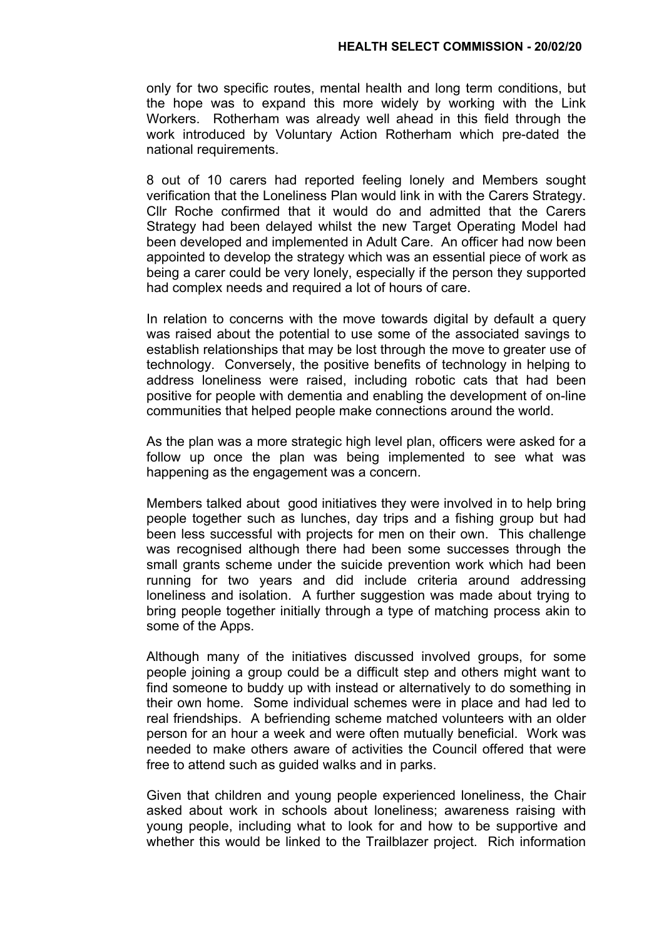only for two specific routes, mental health and long term conditions, but the hope was to expand this more widely by working with the Link Workers. Rotherham was already well ahead in this field through the work introduced by Voluntary Action Rotherham which pre-dated the national requirements.

8 out of 10 carers had reported feeling lonely and Members sought verification that the Loneliness Plan would link in with the Carers Strategy. Cllr Roche confirmed that it would do and admitted that the Carers Strategy had been delayed whilst the new Target Operating Model had been developed and implemented in Adult Care. An officer had now been appointed to develop the strategy which was an essential piece of work as being a carer could be very lonely, especially if the person they supported had complex needs and required a lot of hours of care.

In relation to concerns with the move towards digital by default a query was raised about the potential to use some of the associated savings to establish relationships that may be lost through the move to greater use of technology. Conversely, the positive benefits of technology in helping to address loneliness were raised, including robotic cats that had been positive for people with dementia and enabling the development of on-line communities that helped people make connections around the world.

As the plan was a more strategic high level plan, officers were asked for a follow up once the plan was being implemented to see what was happening as the engagement was a concern.

Members talked about good initiatives they were involved in to help bring people together such as lunches, day trips and a fishing group but had been less successful with projects for men on their own. This challenge was recognised although there had been some successes through the small grants scheme under the suicide prevention work which had been running for two years and did include criteria around addressing loneliness and isolation. A further suggestion was made about trying to bring people together initially through a type of matching process akin to some of the Apps.

Although many of the initiatives discussed involved groups, for some people joining a group could be a difficult step and others might want to find someone to buddy up with instead or alternatively to do something in their own home. Some individual schemes were in place and had led to real friendships. A befriending scheme matched volunteers with an older person for an hour a week and were often mutually beneficial. Work was needed to make others aware of activities the Council offered that were free to attend such as guided walks and in parks.

Given that children and young people experienced loneliness, the Chair asked about work in schools about loneliness; awareness raising with young people, including what to look for and how to be supportive and whether this would be linked to the Trailblazer project. Rich information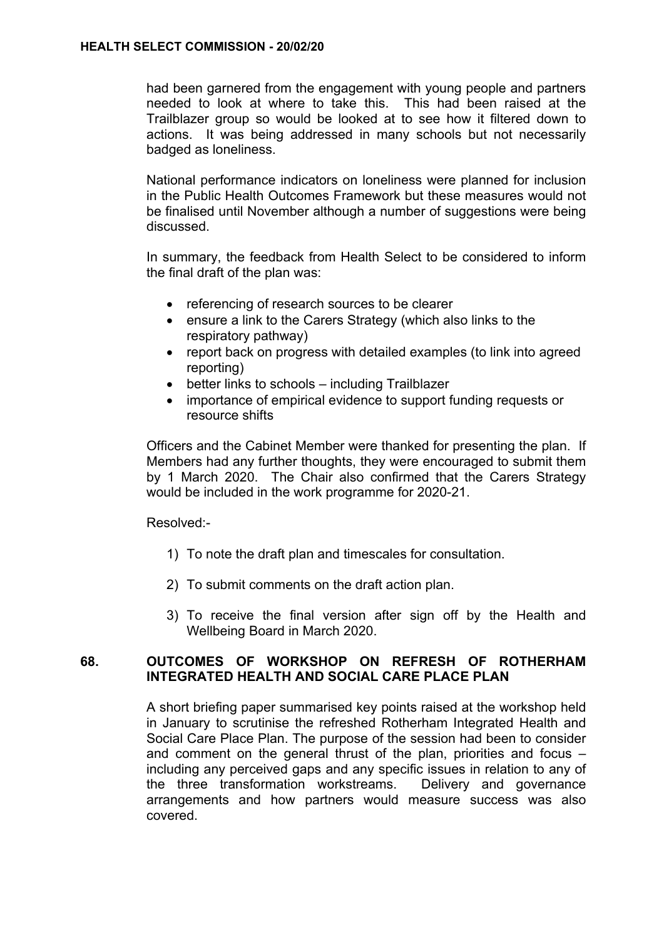had been garnered from the engagement with young people and partners needed to look at where to take this. This had been raised at the Trailblazer group so would be looked at to see how it filtered down to actions. It was being addressed in many schools but not necessarily badged as loneliness.

National performance indicators on loneliness were planned for inclusion in the Public Health Outcomes Framework but these measures would not be finalised until November although a number of suggestions were being discussed.

In summary, the feedback from Health Select to be considered to inform the final draft of the plan was:

- referencing of research sources to be clearer
- ensure a link to the Carers Strategy (which also links to the respiratory pathway)
- report back on progress with detailed examples (to link into agreed reporting)
- better links to schools including Trailblazer
- importance of empirical evidence to support funding requests or resource shifts

Officers and the Cabinet Member were thanked for presenting the plan. If Members had any further thoughts, they were encouraged to submit them by 1 March 2020. The Chair also confirmed that the Carers Strategy would be included in the work programme for 2020-21.

Resolved:-

- 1) To note the draft plan and timescales for consultation.
- 2) To submit comments on the draft action plan.
- 3) To receive the final version after sign off by the Health and Wellbeing Board in March 2020.

## **68. OUTCOMES OF WORKSHOP ON REFRESH OF ROTHERHAM INTEGRATED HEALTH AND SOCIAL CARE PLACE PLAN**

A short briefing paper summarised key points raised at the workshop held in January to scrutinise the refreshed Rotherham Integrated Health and Social Care Place Plan. The purpose of the session had been to consider and comment on the general thrust of the plan, priorities and focus – including any perceived gaps and any specific issues in relation to any of the three transformation workstreams. Delivery and governance arrangements and how partners would measure success was also covered.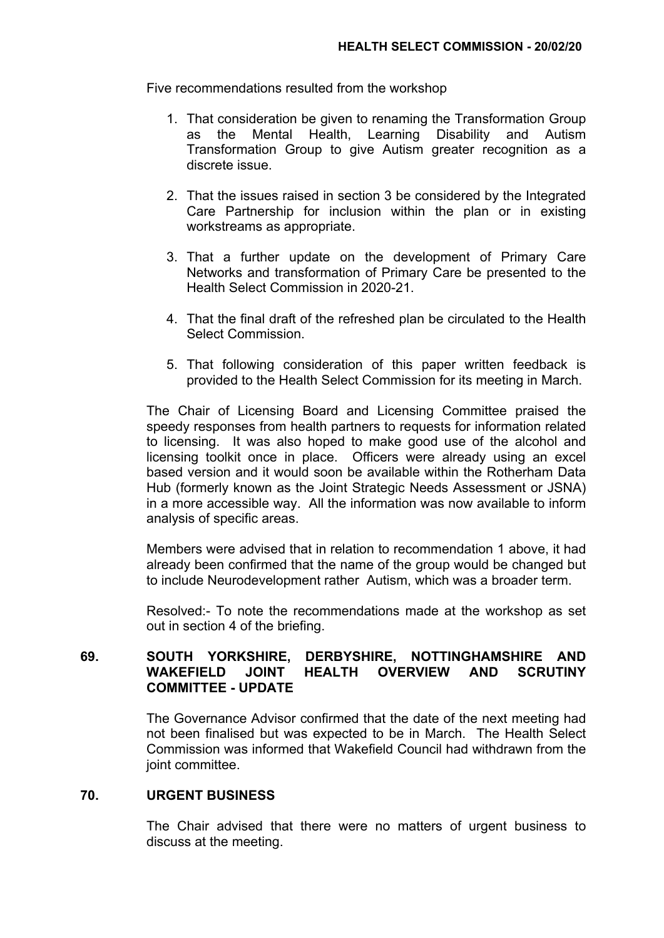Five recommendations resulted from the workshop

- 1. That consideration be given to renaming the Transformation Group as the Mental Health, Learning Disability and Autism Transformation Group to give Autism greater recognition as a discrete issue.
- 2. That the issues raised in section 3 be considered by the Integrated Care Partnership for inclusion within the plan or in existing workstreams as appropriate.
- 3. That a further update on the development of Primary Care Networks and transformation of Primary Care be presented to the Health Select Commission in 2020-21.
- 4. That the final draft of the refreshed plan be circulated to the Health Select Commission.
- 5. That following consideration of this paper written feedback is provided to the Health Select Commission for its meeting in March.

The Chair of Licensing Board and Licensing Committee praised the speedy responses from health partners to requests for information related to licensing. It was also hoped to make good use of the alcohol and licensing toolkit once in place. Officers were already using an excel based version and it would soon be available within the Rotherham Data Hub (formerly known as the Joint Strategic Needs Assessment or JSNA) in a more accessible way. All the information was now available to inform analysis of specific areas.

Members were advised that in relation to recommendation 1 above, it had already been confirmed that the name of the group would be changed but to include Neurodevelopment rather Autism, which was a broader term.

Resolved:- To note the recommendations made at the workshop as set out in section 4 of the briefing.

# **69. SOUTH YORKSHIRE, DERBYSHIRE, NOTTINGHAMSHIRE AND WAKEFIELD JOINT HEALTH OVERVIEW AND SCRUTINY COMMITTEE - UPDATE**

The Governance Advisor confirmed that the date of the next meeting had not been finalised but was expected to be in March. The Health Select Commission was informed that Wakefield Council had withdrawn from the joint committee.

# **70. URGENT BUSINESS**

The Chair advised that there were no matters of urgent business to discuss at the meeting.